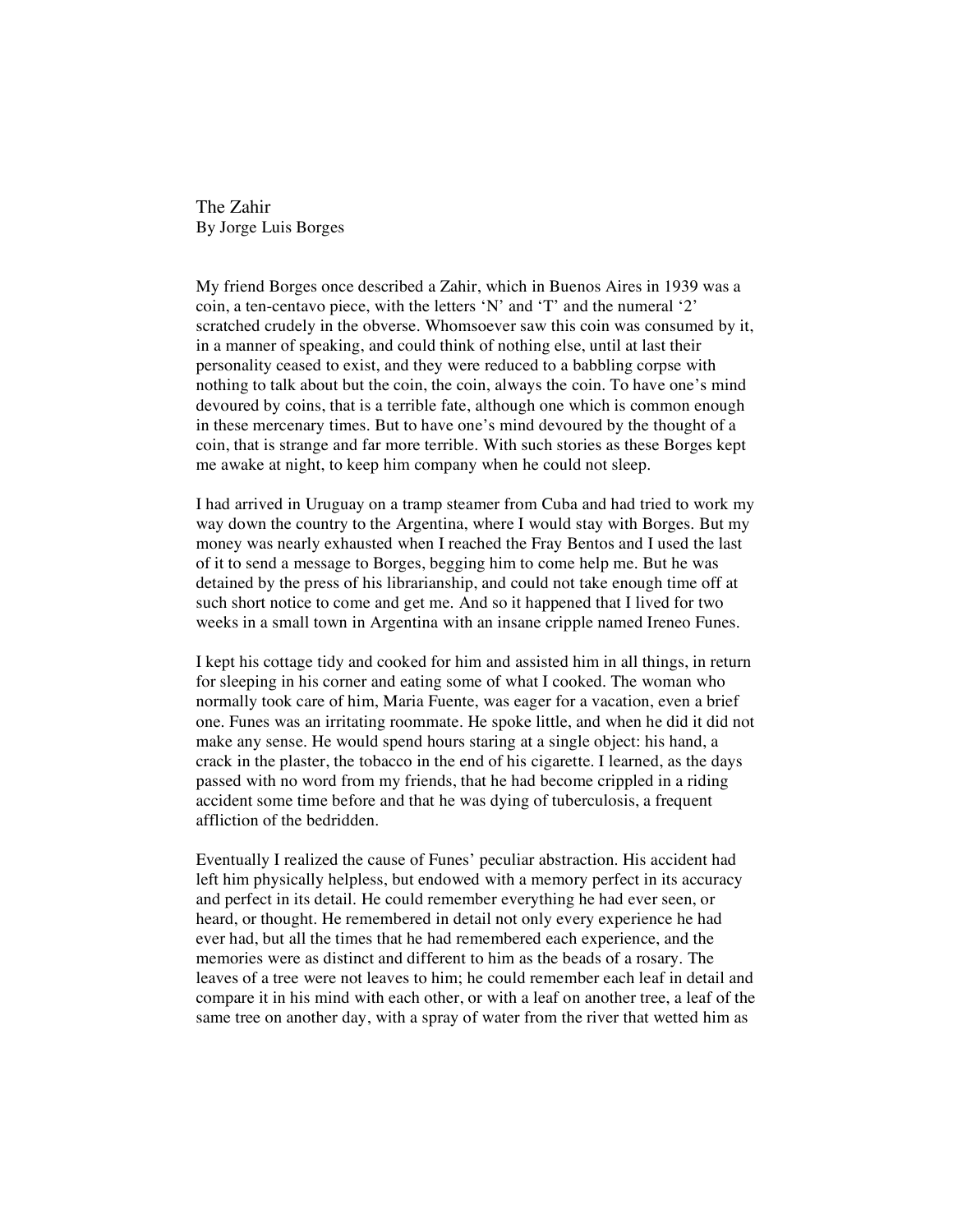The Zahir By Jorge Luis Borges

My friend Borges once described a Zahir, which in Buenos Aires in 1939 was a coin, a ten-centavo piece, with the letters 'N' and 'T' and the numeral '2' scratched crudely in the obverse. Whomsoever saw this coin was consumed by it, in a manner of speaking, and could think of nothing else, until at last their personality ceased to exist, and they were reduced to a babbling corpse with nothing to talk about but the coin, the coin, always the coin. To have one's mind devoured by coins, that is a terrible fate, although one which is common enough in these mercenary times. But to have one's mind devoured by the thought of a coin, that is strange and far more terrible. With such stories as these Borges kept me awake at night, to keep him company when he could not sleep.

I had arrived in Uruguay on a tramp steamer from Cuba and had tried to work my way down the country to the Argentina, where I would stay with Borges. But my money was nearly exhausted when I reached the Fray Bentos and I used the last of it to send a message to Borges, begging him to come help me. But he was detained by the press of his librarianship, and could not take enough time off at such short notice to come and get me. And so it happened that I lived for two weeks in a small town in Argentina with an insane cripple named Ireneo Funes.

I kept his cottage tidy and cooked for him and assisted him in all things, in return for sleeping in his corner and eating some of what I cooked. The woman who normally took care of him, Maria Fuente, was eager for a vacation, even a brief one. Funes was an irritating roommate. He spoke little, and when he did it did not make any sense. He would spend hours staring at a single object: his hand, a crack in the plaster, the tobacco in the end of his cigarette. I learned, as the days passed with no word from my friends, that he had become crippled in a riding accident some time before and that he was dying of tuberculosis, a frequent affliction of the bedridden.

Eventually I realized the cause of Funes' peculiar abstraction. His accident had left him physically helpless, but endowed with a memory perfect in its accuracy and perfect in its detail. He could remember everything he had ever seen, or heard, or thought. He remembered in detail not only every experience he had ever had, but all the times that he had remembered each experience, and the memories were as distinct and different to him as the beads of a rosary. The leaves of a tree were not leaves to him; he could remember each leaf in detail and compare it in his mind with each other, or with a leaf on another tree, a leaf of the same tree on another day, with a spray of water from the river that wetted him as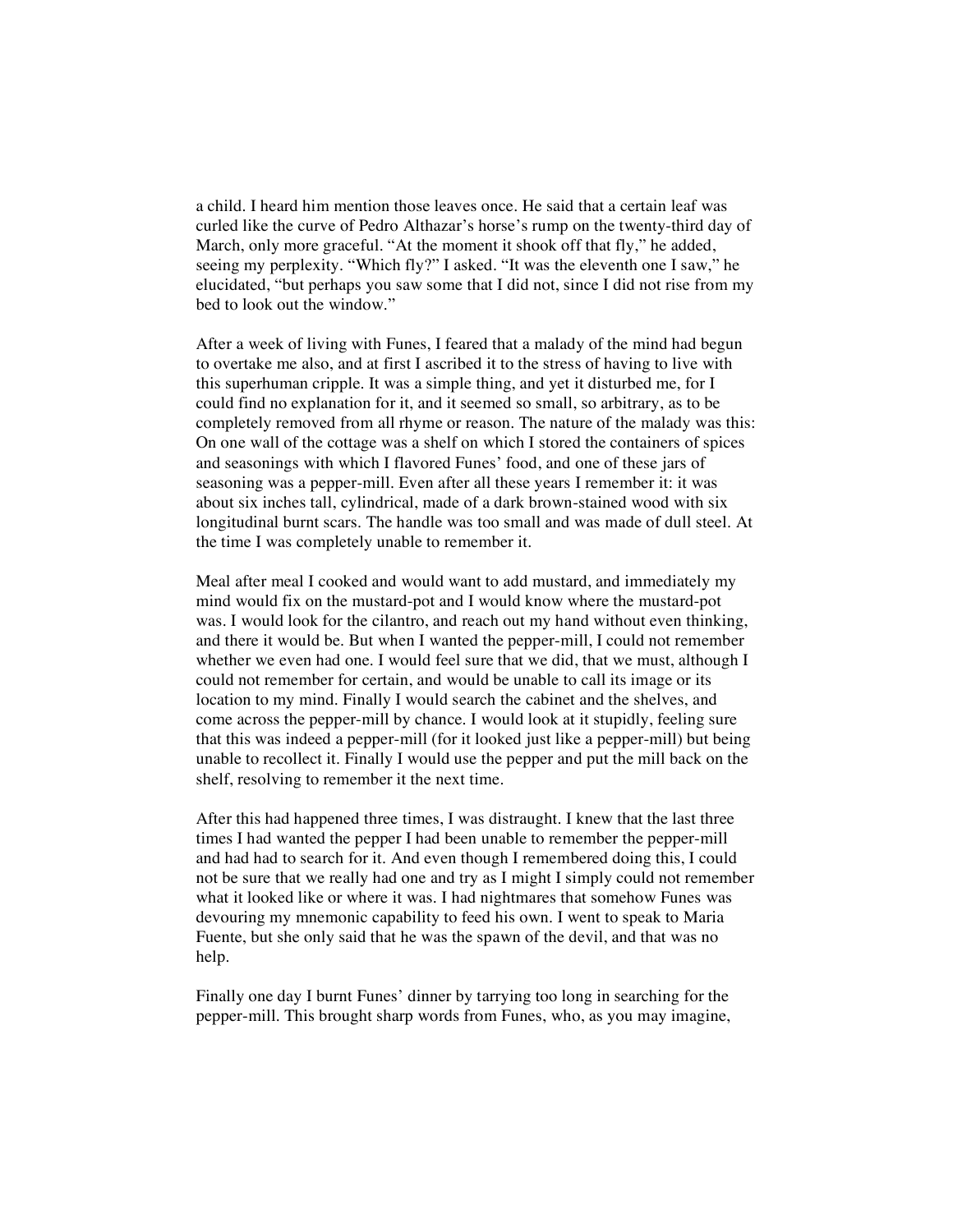a child. I heard him mention those leaves once. He said that a certain leaf was curled like the curve of Pedro Althazar's horse's rump on the twenty-third day of March, only more graceful. "At the moment it shook off that fly," he added, seeing my perplexity. "Which fly?" I asked. "It was the eleventh one I saw," he elucidated, "but perhaps you saw some that I did not, since I did not rise from my bed to look out the window."

After a week of living with Funes, I feared that a malady of the mind had begun to overtake me also, and at first I ascribed it to the stress of having to live with this superhuman cripple. It was a simple thing, and yet it disturbed me, for I could find no explanation for it, and it seemed so small, so arbitrary, as to be completely removed from all rhyme or reason. The nature of the malady was this: On one wall of the cottage was a shelf on which I stored the containers of spices and seasonings with which I flavored Funes' food, and one of these jars of seasoning was a pepper-mill. Even after all these years I remember it: it was about six inches tall, cylindrical, made of a dark brown-stained wood with six longitudinal burnt scars. The handle was too small and was made of dull steel. At the time I was completely unable to remember it.

Meal after meal I cooked and would want to add mustard, and immediately my mind would fix on the mustard-pot and I would know where the mustard-pot was. I would look for the cilantro, and reach out my hand without even thinking, and there it would be. But when I wanted the pepper-mill, I could not remember whether we even had one. I would feel sure that we did, that we must, although I could not remember for certain, and would be unable to call its image or its location to my mind. Finally I would search the cabinet and the shelves, and come across the pepper-mill by chance. I would look at it stupidly, feeling sure that this was indeed a pepper-mill (for it looked just like a pepper-mill) but being unable to recollect it. Finally I would use the pepper and put the mill back on the shelf, resolving to remember it the next time.

After this had happened three times, I was distraught. I knew that the last three times I had wanted the pepper I had been unable to remember the pepper-mill and had had to search for it. And even though I remembered doing this, I could not be sure that we really had one and try as I might I simply could not remember what it looked like or where it was. I had nightmares that somehow Funes was devouring my mnemonic capability to feed his own. I went to speak to Maria Fuente, but she only said that he was the spawn of the devil, and that was no help.

Finally one day I burnt Funes' dinner by tarrying too long in searching for the pepper-mill. This brought sharp words from Funes, who, as you may imagine,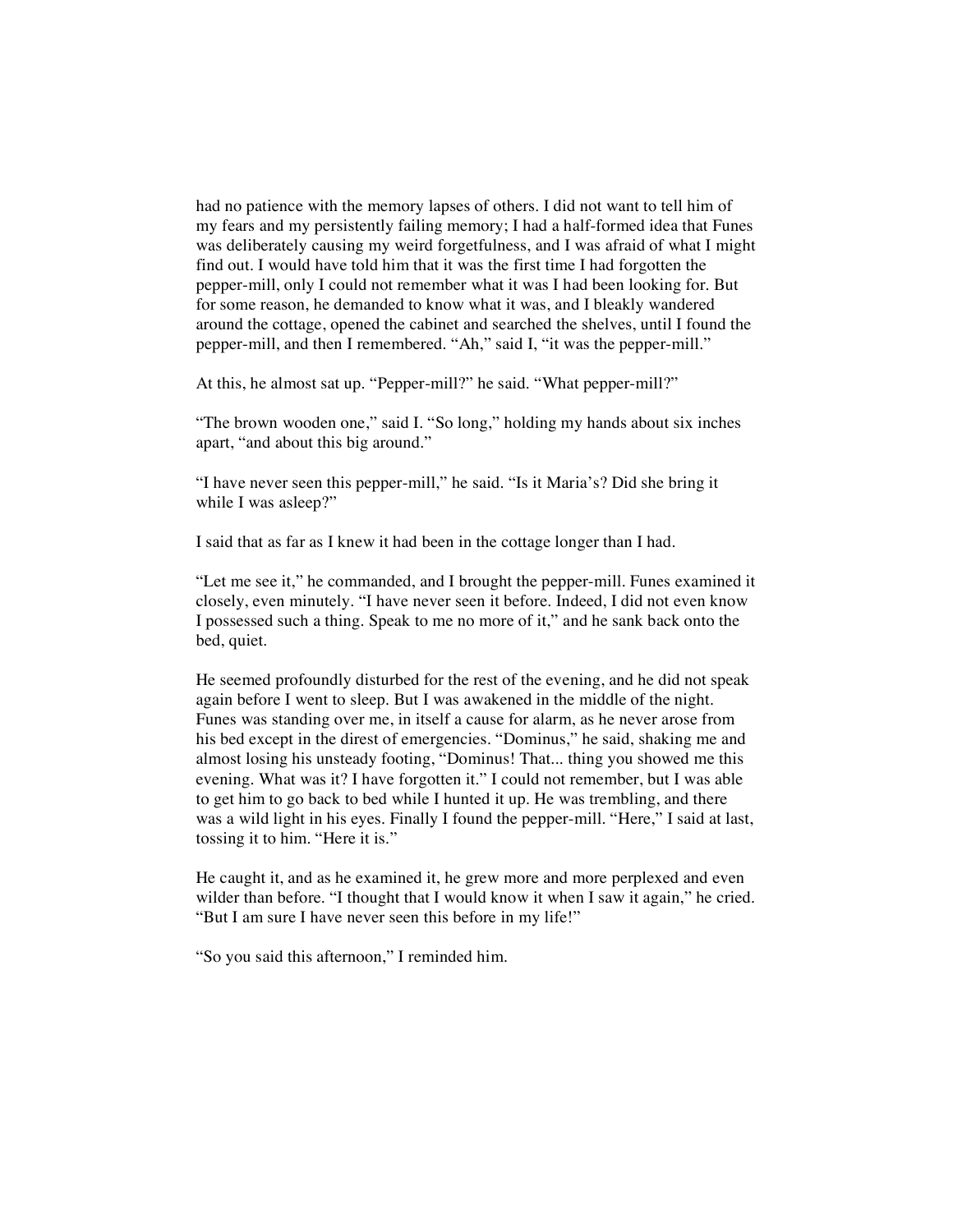had no patience with the memory lapses of others. I did not want to tell him of my fears and my persistently failing memory; I had a half-formed idea that Funes was deliberately causing my weird forgetfulness, and I was afraid of what I might find out. I would have told him that it was the first time I had forgotten the pepper-mill, only I could not remember what it was I had been looking for. But for some reason, he demanded to know what it was, and I bleakly wandered around the cottage, opened the cabinet and searched the shelves, until I found the pepper-mill, and then I remembered. "Ah," said I, "it was the pepper-mill."

At this, he almost sat up. "Pepper-mill?" he said. "What pepper-mill?"

"The brown wooden one," said I. "So long," holding my hands about six inches apart, "and about this big around."

"I have never seen this pepper-mill," he said. "Is it Maria's? Did she bring it while I was asleep?"

I said that as far as I knew it had been in the cottage longer than I had.

"Let me see it," he commanded, and I brought the pepper-mill. Funes examined it closely, even minutely. "I have never seen it before. Indeed, I did not even know I possessed such a thing. Speak to me no more of it," and he sank back onto the bed, quiet.

He seemed profoundly disturbed for the rest of the evening, and he did not speak again before I went to sleep. But I was awakened in the middle of the night. Funes was standing over me, in itself a cause for alarm, as he never arose from his bed except in the direst of emergencies. "Dominus," he said, shaking me and almost losing his unsteady footing, "Dominus! That... thing you showed me this evening. What was it? I have forgotten it." I could not remember, but I was able to get him to go back to bed while I hunted it up. He was trembling, and there was a wild light in his eyes. Finally I found the pepper-mill. "Here," I said at last, tossing it to him. "Here it is."

He caught it, and as he examined it, he grew more and more perplexed and even wilder than before. "I thought that I would know it when I saw it again," he cried. "But I am sure I have never seen this before in my life!"

"So you said this afternoon," I reminded him.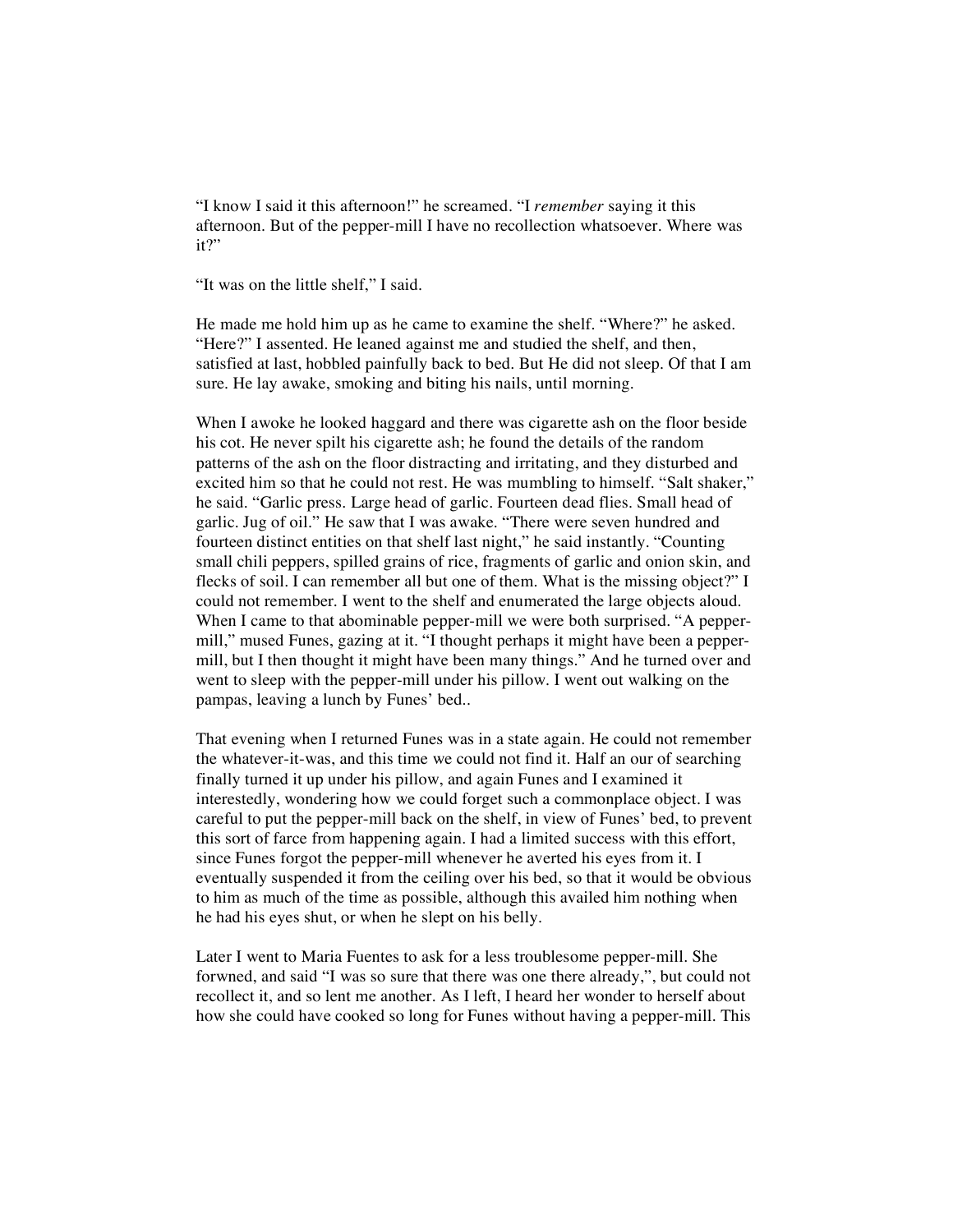"I know I said it this afternoon!" he screamed. "I *remember* saying it this afternoon. But of the pepper-mill I have no recollection whatsoever. Where was it?"

"It was on the little shelf," I said.

He made me hold him up as he came to examine the shelf. "Where?" he asked. "Here?" I assented. He leaned against me and studied the shelf, and then, satisfied at last, hobbled painfully back to bed. But He did not sleep. Of that I am sure. He lay awake, smoking and biting his nails, until morning.

When I awoke he looked haggard and there was cigarette ash on the floor beside his cot. He never spilt his cigarette ash; he found the details of the random patterns of the ash on the floor distracting and irritating, and they disturbed and excited him so that he could not rest. He was mumbling to himself. "Salt shaker," he said. "Garlic press. Large head of garlic. Fourteen dead flies. Small head of garlic. Jug of oil." He saw that I was awake. "There were seven hundred and fourteen distinct entities on that shelf last night," he said instantly. "Counting small chili peppers, spilled grains of rice, fragments of garlic and onion skin, and flecks of soil. I can remember all but one of them. What is the missing object?" I could not remember. I went to the shelf and enumerated the large objects aloud. When I came to that abominable pepper-mill we were both surprised. "A peppermill," mused Funes, gazing at it. "I thought perhaps it might have been a peppermill, but I then thought it might have been many things." And he turned over and went to sleep with the pepper-mill under his pillow. I went out walking on the pampas, leaving a lunch by Funes' bed..

That evening when I returned Funes was in a state again. He could not remember the whatever-it-was, and this time we could not find it. Half an our of searching finally turned it up under his pillow, and again Funes and I examined it interestedly, wondering how we could forget such a commonplace object. I was careful to put the pepper-mill back on the shelf, in view of Funes' bed, to prevent this sort of farce from happening again. I had a limited success with this effort, since Funes forgot the pepper-mill whenever he averted his eyes from it. I eventually suspended it from the ceiling over his bed, so that it would be obvious to him as much of the time as possible, although this availed him nothing when he had his eyes shut, or when he slept on his belly.

Later I went to Maria Fuentes to ask for a less troublesome pepper-mill. She forwned, and said "I was so sure that there was one there already,", but could not recollect it, and so lent me another. As I left, I heard her wonder to herself about how she could have cooked so long for Funes without having a pepper-mill. This